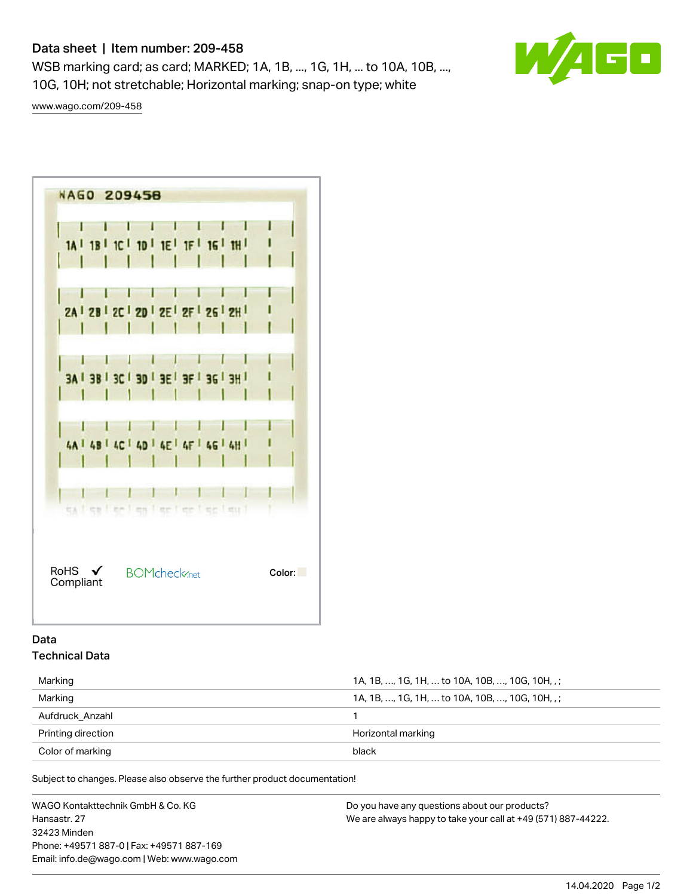# Data sheet | Item number: 209-458

WSB marking card; as card; MARKED; 1A, 1B, ..., 1G, 1H, ... to 10A, 10B, ..., 10G, 10H; not stretchable; Horizontal marking; snap-on type; white



[www.wago.com/209-458](http://www.wago.com/209-458)



## Data Technical Data

| Marking            | 1A, 1B, , 1G, 1H,  to 10A, 10B, , 10G, 10H, .: |
|--------------------|------------------------------------------------|
| Marking            | 1A, 1B, , 1G, 1H,  to 10A, 10B, , 10G, 10H, .: |
| Aufdruck Anzahl    |                                                |
| Printing direction | Horizontal marking                             |
| Color of marking   | black                                          |

Subject to changes. Please also observe the further product documentation!

WAGO Kontakttechnik GmbH & Co. KG Hansastr. 27 32423 Minden Phone: +49571 887-0 | Fax: +49571 887-169 Email: info.de@wago.com | Web: www.wago.com Do you have any questions about our products? We are always happy to take your call at +49 (571) 887-44222.